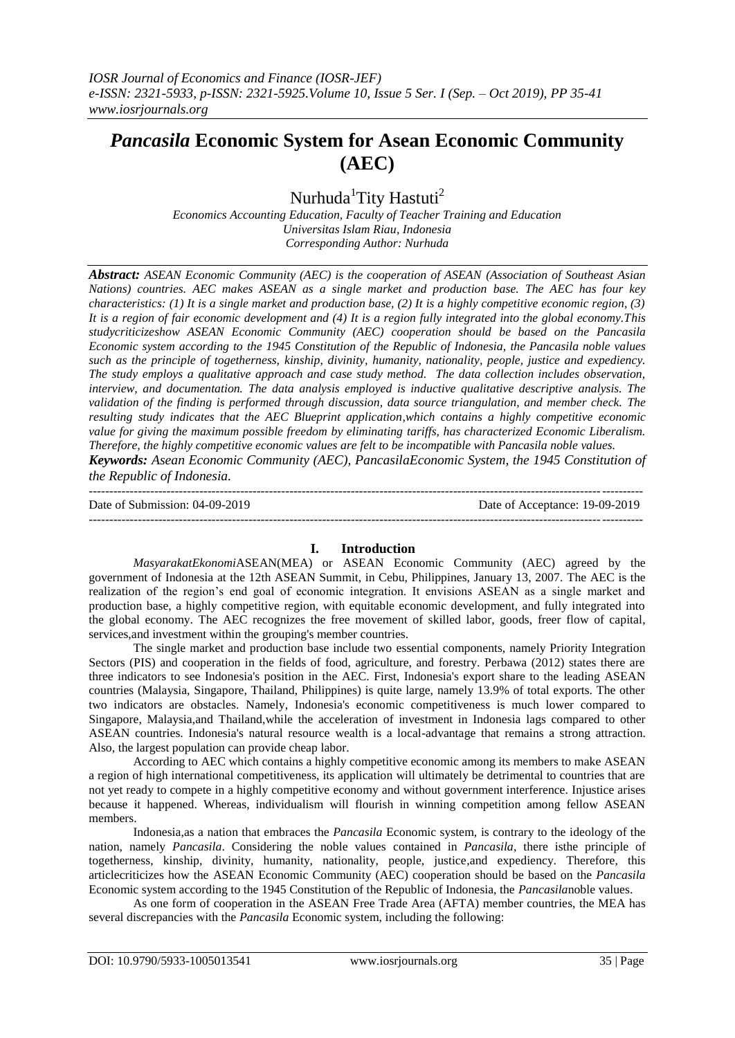# *Pancasila* **Economic System for Asean Economic Community (AEC)**

Nurhuda<sup>1</sup>Tity Hastuti<sup>2</sup>

*Economics Accounting Education, Faculty of Teacher Training and Education Universitas Islam Riau, Indonesia Corresponding Author: Nurhuda*

*Abstract: ASEAN Economic Community (AEC) is the cooperation of ASEAN (Association of Southeast Asian Nations) countries. AEC makes ASEAN as a single market and production base. The AEC has four key characteristics: (1) It is a single market and production base, (2) It is a highly competitive economic region, (3) It is a region of fair economic development and (4) It is a region fully integrated into the global economy.This studycriticizeshow ASEAN Economic Community (AEC) cooperation should be based on the Pancasila Economic system according to the 1945 Constitution of the Republic of Indonesia, the Pancasila noble values such as the principle of togetherness, kinship, divinity, humanity, nationality, people, justice and expediency. The study employs a qualitative approach and case study method. The data collection includes observation, interview, and documentation. The data analysis employed is inductive qualitative descriptive analysis. The validation of the finding is performed through discussion, data source triangulation, and member check. The resulting study indicates that the AEC Blueprint application,which contains a highly competitive economic value for giving the maximum possible freedom by eliminating tariffs, has characterized Economic Liberalism. Therefore, the highly competitive economic values are felt to be incompatible with Pancasila noble values.*

*Keywords: Asean Economic Community (AEC), PancasilaEconomic System, the 1945 Constitution of the Republic of Indonesia.* 

--------------------------------------------------------------------------------------------------------------------------------------- Date of Submission: 04-09-2019 Date of Acceptance: 19-09-2019

---------------------------------------------------------------------------------------------------------------------------------------

## **I. Introduction**

*MasyarakatEkonomi*ASEAN(MEA) or ASEAN Economic Community (AEC) agreed by the government of Indonesia at the 12th ASEAN Summit, in Cebu, Philippines, January 13, 2007. The AEC is the realization of the region's end goal of economic integration. It envisions ASEAN as a single market and production base, a highly competitive region, with equitable economic development, and fully integrated into the global economy. The AEC recognizes the free movement of skilled labor, goods, freer flow of capital, services,and investment within the grouping's member countries.

The single market and production base include two essential components, namely Priority Integration Sectors (PIS) and cooperation in the fields of food, agriculture, and forestry. Perbawa (2012) states there are three indicators to see Indonesia's position in the AEC. First, Indonesia's export share to the leading ASEAN countries (Malaysia, Singapore, Thailand, Philippines) is quite large, namely 13.9% of total exports. The other two indicators are obstacles. Namely, Indonesia's economic competitiveness is much lower compared to Singapore, Malaysia,and Thailand,while the acceleration of investment in Indonesia lags compared to other ASEAN countries. Indonesia's natural resource wealth is a local-advantage that remains a strong attraction. Also, the largest population can provide cheap labor.

According to AEC which contains a highly competitive economic among its members to make ASEAN a region of high international competitiveness, its application will ultimately be detrimental to countries that are not yet ready to compete in a highly competitive economy and without government interference. Injustice arises because it happened. Whereas, individualism will flourish in winning competition among fellow ASEAN members.

Indonesia,as a nation that embraces the *Pancasila* Economic system, is contrary to the ideology of the nation, namely *Pancasila*. Considering the noble values contained in *Pancasila*, there isthe principle of togetherness, kinship, divinity, humanity, nationality, people, justice,and expediency. Therefore, this articlecriticizes how the ASEAN Economic Community (AEC) cooperation should be based on the *Pancasila* Economic system according to the 1945 Constitution of the Republic of Indonesia, the *Pancasila*noble values.

As one form of cooperation in the ASEAN Free Trade Area (AFTA) member countries, the MEA has several discrepancies with the *Pancasila* Economic system, including the following: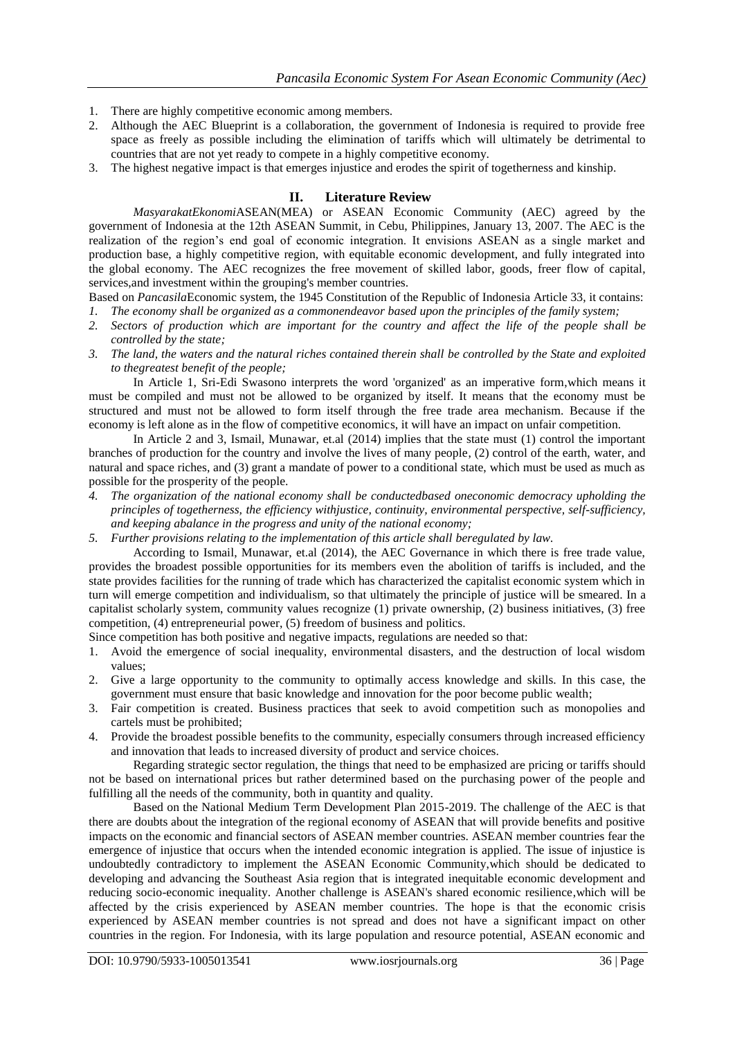- 1. There are highly competitive economic among members.
- 2. Although the AEC Blueprint is a collaboration, the government of Indonesia is required to provide free space as freely as possible including the elimination of tariffs which will ultimately be detrimental to countries that are not yet ready to compete in a highly competitive economy.
- 3. The highest negative impact is that emerges injustice and erodes the spirit of togetherness and kinship.

## **II. Literature Review**

*MasyarakatEkonomi*ASEAN(MEA) or ASEAN Economic Community (AEC) agreed by the government of Indonesia at the 12th ASEAN Summit, in Cebu, Philippines, January 13, 2007. The AEC is the realization of the region's end goal of economic integration. It envisions ASEAN as a single market and production base, a highly competitive region, with equitable economic development, and fully integrated into the global economy. The AEC recognizes the free movement of skilled labor, goods, freer flow of capital, services,and investment within the grouping's member countries.

- Based on *Pancasila*Economic system, the 1945 Constitution of the Republic of Indonesia Article 33, it contains:
- *1. The economy shall be organized as a commonendeavor based upon the principles of the family system;*
- *2. Sectors of production which are important for the country and affect the life of the people shall be controlled by the state;*
- *3. The land, the waters and the natural riches contained therein shall be controlled by the State and exploited to thegreatest benefit of the people;*

In Article 1, Sri-Edi Swasono interprets the word 'organized' as an imperative form,which means it must be compiled and must not be allowed to be organized by itself. It means that the economy must be structured and must not be allowed to form itself through the free trade area mechanism. Because if the economy is left alone as in the flow of competitive economics, it will have an impact on unfair competition.

In Article 2 and 3, Ismail, Munawar, et.al (2014) implies that the state must (1) control the important branches of production for the country and involve the lives of many people, (2) control of the earth, water, and natural and space riches, and (3) grant a mandate of power to a conditional state, which must be used as much as possible for the prosperity of the people.

- *4. The organization of the national economy shall be conductedbased oneconomic democracy upholding the principles of togetherness, the efficiency withjustice, continuity, environmental perspective, self-sufficiency, and keeping abalance in the progress and unity of the national economy;*
- *5. Further provisions relating to the implementation of this article shall beregulated by law.*

According to Ismail, Munawar, et.al (2014), the AEC Governance in which there is free trade value, provides the broadest possible opportunities for its members even the abolition of tariffs is included, and the state provides facilities for the running of trade which has characterized the capitalist economic system which in turn will emerge competition and individualism, so that ultimately the principle of justice will be smeared. In a capitalist scholarly system, community values recognize (1) private ownership, (2) business initiatives, (3) free competition, (4) entrepreneurial power, (5) freedom of business and politics.

Since competition has both positive and negative impacts, regulations are needed so that:

- 1. Avoid the emergence of social inequality, environmental disasters, and the destruction of local wisdom values;
- 2. Give a large opportunity to the community to optimally access knowledge and skills. In this case, the government must ensure that basic knowledge and innovation for the poor become public wealth;
- 3. Fair competition is created. Business practices that seek to avoid competition such as monopolies and cartels must be prohibited;
- 4. Provide the broadest possible benefits to the community, especially consumers through increased efficiency and innovation that leads to increased diversity of product and service choices.

Regarding strategic sector regulation, the things that need to be emphasized are pricing or tariffs should not be based on international prices but rather determined based on the purchasing power of the people and fulfilling all the needs of the community, both in quantity and quality.

Based on the National Medium Term Development Plan 2015-2019. The challenge of the AEC is that there are doubts about the integration of the regional economy of ASEAN that will provide benefits and positive impacts on the economic and financial sectors of ASEAN member countries. ASEAN member countries fear the emergence of injustice that occurs when the intended economic integration is applied. The issue of injustice is undoubtedly contradictory to implement the ASEAN Economic Community,which should be dedicated to developing and advancing the Southeast Asia region that is integrated inequitable economic development and reducing socio-economic inequality. Another challenge is ASEAN's shared economic resilience,which will be affected by the crisis experienced by ASEAN member countries. The hope is that the economic crisis experienced by ASEAN member countries is not spread and does not have a significant impact on other countries in the region. For Indonesia, with its large population and resource potential, ASEAN economic and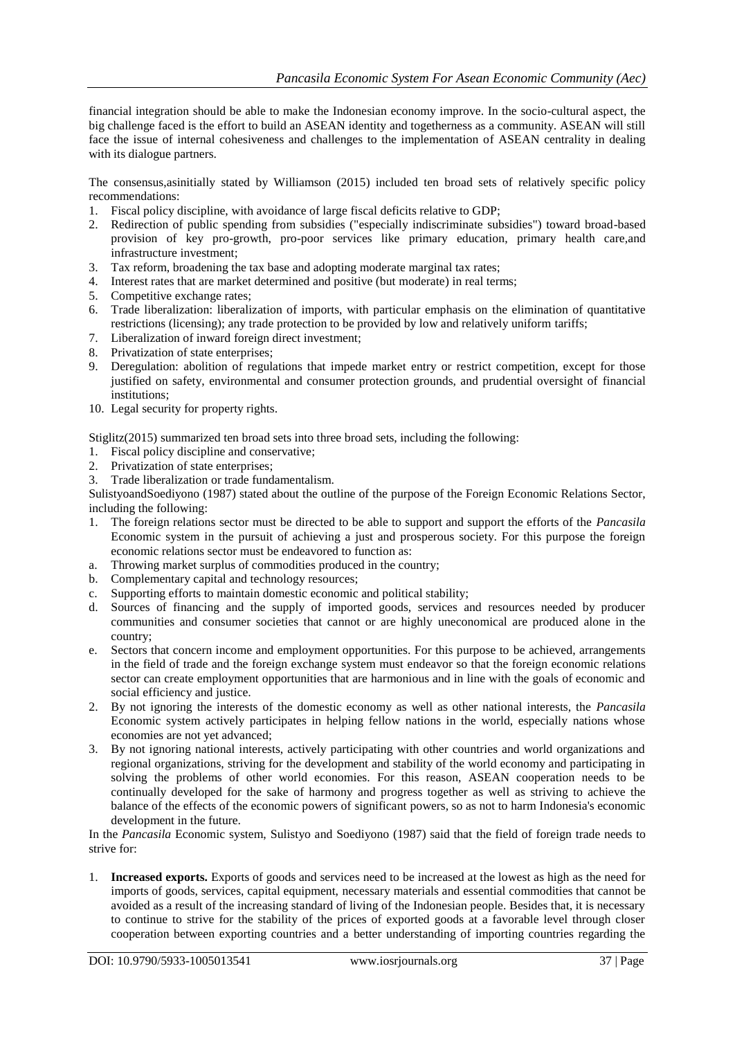financial integration should be able to make the Indonesian economy improve. In the socio-cultural aspect, the big challenge faced is the effort to build an ASEAN identity and togetherness as a community. ASEAN will still face the issue of internal cohesiveness and challenges to the implementation of ASEAN centrality in dealing with its dialogue partners.

The consensus,asinitially stated by Williamson (2015) included ten broad sets of relatively specific policy recommendations:

- 1. [Fiscal policy](https://en.wikipedia.org/wiki/Fiscal_policy) discipline, with avoidance of large fiscal deficits relative to GDP;
- 2. Redirection of public spending from subsidies ("especially indiscriminate subsidies") toward broad-based provision of key pro-growth, pro-poor services like primary education, [primary health care,](https://en.wikipedia.org/wiki/Primary_health_care)and infrastructure investment;
- 3. [Tax reform,](https://en.wikipedia.org/wiki/Tax_reform) broadening the tax base and adopting moderate marginal tax rates;
- 4. [Interest rates](https://en.wikipedia.org/wiki/Interest_rate) that are market determined and positive (but moderate) in real terms;
- 5. Competitive [exchange rates;](https://en.wikipedia.org/wiki/Exchange_rate)
- 6. [Trade liberalization:](https://en.wikipedia.org/wiki/Trade_liberalization) liberalization of imports, with particular emphasis on the elimination of quantitative restrictions (licensing); any trade protection to be provided by low and relatively uniform [tariffs;](https://en.wikipedia.org/wiki/Tariff)
- 7. Liberalization of inward [foreign direct investment;](https://en.wikipedia.org/wiki/Foreign_direct_investment)
- 8. [Privatization](https://en.wikipedia.org/wiki/Privatization) of [state enterprises;](https://en.wikipedia.org/wiki/State-owned_enterprise)
- 9. [Deregulation:](https://en.wikipedia.org/wiki/Deregulation) abolition of regulations that impede market entry or restrict competition, except for those justified on safety, environmental and consumer protection grounds, and prudential oversight of [financial](https://en.wikipedia.org/wiki/Financial_institution)  [institutions;](https://en.wikipedia.org/wiki/Financial_institution)
- 10. Legal security for [property rights.](https://en.wikipedia.org/wiki/Property_right)

Stiglitz(2015) summarized ten broad sets into three broad sets, including the following:

- 1. [Fiscal policy](https://en.wikipedia.org/wiki/Fiscal_policy) discipline and conservative;
- 2. [Privatization](https://en.wikipedia.org/wiki/Privatization) of [state enterprises;](https://en.wikipedia.org/wiki/State-owned_enterprise)
- 3. [Trade liberalization](https://en.wikipedia.org/wiki/Trade_liberalization) or trade fundamentalism.

SulistyoandSoediyono (1987) stated about the outline of the purpose of the Foreign Economic Relations Sector, including the following:

- 1. The foreign relations sector must be directed to be able to support and support the efforts of the *Pancasila* Economic system in the pursuit of achieving a just and prosperous society. For this purpose the foreign economic relations sector must be endeavored to function as:
- a. Throwing market surplus of commodities produced in the country;
- b. Complementary capital and technology resources;
- c. Supporting efforts to maintain domestic economic and political stability;
- d. Sources of financing and the supply of imported goods, services and resources needed by producer communities and consumer societies that cannot or are highly uneconomical are produced alone in the country;
- e. Sectors that concern income and employment opportunities. For this purpose to be achieved, arrangements in the field of trade and the foreign exchange system must endeavor so that the foreign economic relations sector can create employment opportunities that are harmonious and in line with the goals of economic and social efficiency and justice.
- 2. By not ignoring the interests of the domestic economy as well as other national interests, the *Pancasila* Economic system actively participates in helping fellow nations in the world, especially nations whose economies are not yet advanced;
- 3. By not ignoring national interests, actively participating with other countries and world organizations and regional organizations, striving for the development and stability of the world economy and participating in solving the problems of other world economies. For this reason, ASEAN cooperation needs to be continually developed for the sake of harmony and progress together as well as striving to achieve the balance of the effects of the economic powers of significant powers, so as not to harm Indonesia's economic development in the future.

In the *Pancasila* Economic system, Sulistyo and Soediyono (1987) said that the field of foreign trade needs to strive for:

1. **Increased exports.** Exports of goods and services need to be increased at the lowest as high as the need for imports of goods, services, capital equipment, necessary materials and essential commodities that cannot be avoided as a result of the increasing standard of living of the Indonesian people. Besides that, it is necessary to continue to strive for the stability of the prices of exported goods at a favorable level through closer cooperation between exporting countries and a better understanding of importing countries regarding the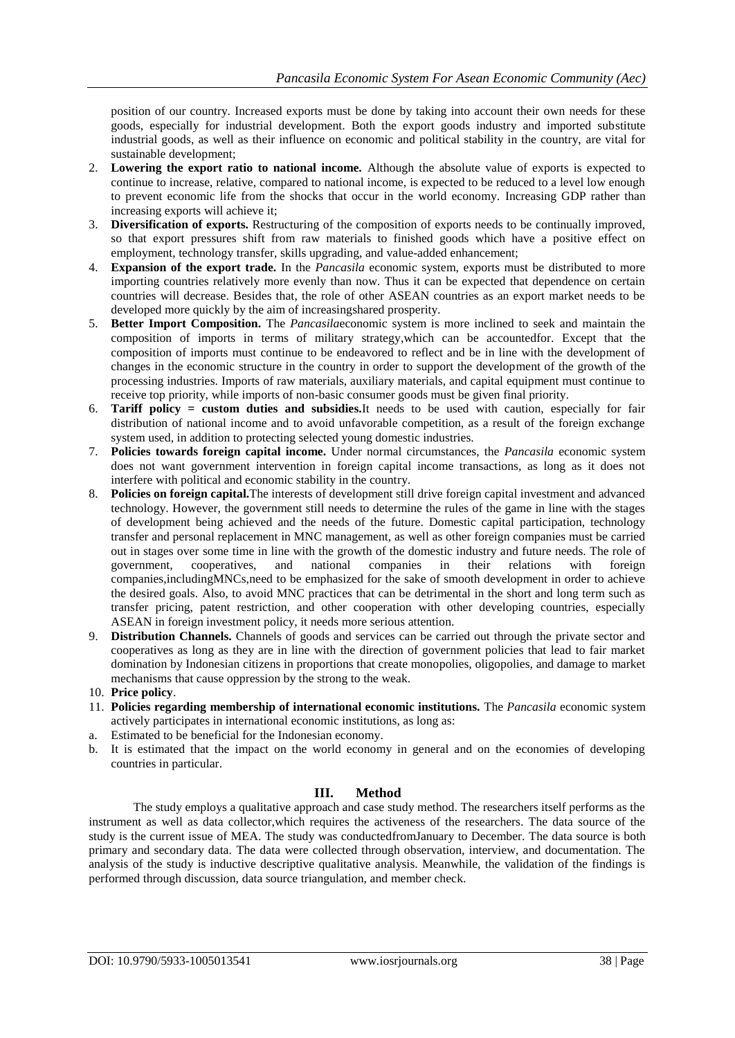position of our country. Increased exports must be done by taking into account their own needs for these goods, especially for industrial development. Both the export goods industry and imported substitute industrial goods, as well as their influence on economic and political stability in the country, are vital for sustainable development;

- 2. **Lowering the export ratio to national income.** Although the absolute value of exports is expected to continue to increase, relative, compared to national income, is expected to be reduced to a level low enough to prevent economic life from the shocks that occur in the world economy. Increasing GDP rather than increasing exports will achieve it;
- 3. **Diversification of exports.** Restructuring of the composition of exports needs to be continually improved, so that export pressures shift from raw materials to finished goods which have a positive effect on employment, technology transfer, skills upgrading, and value-added enhancement;
- 4. **Expansion of the export trade.** In the *Pancasila* economic system, exports must be distributed to more importing countries relatively more evenly than now. Thus it can be expected that dependence on certain countries will decrease. Besides that, the role of other ASEAN countries as an export market needs to be developed more quickly by the aim of increasingshared prosperity.
- 5. **Better Import Composition.** The *Pancasila*economic system is more inclined to seek and maintain the composition of imports in terms of military strategy,which can be accountedfor. Except that the composition of imports must continue to be endeavored to reflect and be in line with the development of changes in the economic structure in the country in order to support the development of the growth of the processing industries. Imports of raw materials, auxiliary materials, and capital equipment must continue to receive top priority, while imports of non-basic consumer goods must be given final priority.
- 6. **Tariff policy = custom duties and subsidies.**It needs to be used with caution, especially for fair distribution of national income and to avoid unfavorable competition, as a result of the foreign exchange system used, in addition to protecting selected young domestic industries.
- 7. **Policies towards foreign capital income.** Under normal circumstances, the *Pancasila* economic system does not want government intervention in foreign capital income transactions, as long as it does not interfere with political and economic stability in the country.
- 8. **Policies on foreign capital.**The interests of development still drive foreign capital investment and advanced technology. However, the government still needs to determine the rules of the game in line with the stages of development being achieved and the needs of the future. Domestic capital participation, technology transfer and personal replacement in MNC management, as well as other foreign companies must be carried out in stages over some time in line with the growth of the domestic industry and future needs. The role of government, cooperatives, and national companies in their relations with foreign cooperatives, and national companies in their relations with foreign companies,includingMNCs,need to be emphasized for the sake of smooth development in order to achieve the desired goals. Also, to avoid MNC practices that can be detrimental in the short and long term such as transfer pricing, patent restriction, and other cooperation with other developing countries, especially ASEAN in foreign investment policy, it needs more serious attention.
- 9. **Distribution Channels.** Channels of goods and services can be carried out through the private sector and cooperatives as long as they are in line with the direction of government policies that lead to fair market domination by Indonesian citizens in proportions that create monopolies, oligopolies, and damage to market mechanisms that cause oppression by the strong to the weak.
- 10. **Price policy**.
- 11. **Policies regarding membership of international economic institutions.** The *Pancasila* economic system actively participates in international economic institutions, as long as:
- a. Estimated to be beneficial for the Indonesian economy.
- b. It is estimated that the impact on the world economy in general and on the economies of developing countries in particular.

## **III. Method**

The study employs a qualitative approach and case study method. The researchers itself performs as the instrument as well as data collector,which requires the activeness of the researchers. The data source of the study is the current issue of MEA. The study was conductedfromJanuary to December. The data source is both primary and secondary data. The data were collected through observation, interview, and documentation. The analysis of the study is inductive descriptive qualitative analysis. Meanwhile, the validation of the findings is performed through discussion, data source triangulation, and member check.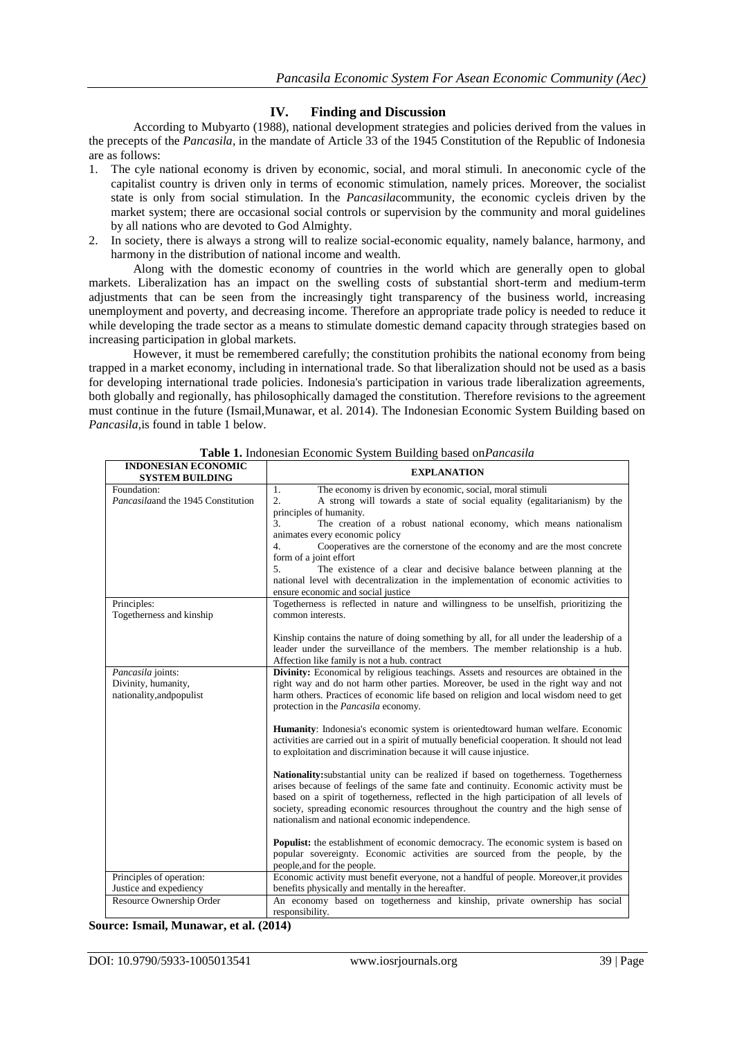### **IV. Finding and Discussion**

According to Mubyarto (1988), national development strategies and policies derived from the values in the precepts of the *Pancasila*, in the mandate of Article 33 of the 1945 Constitution of the Republic of Indonesia are as follows:

- 1. The cyle national economy is driven by economic, social, and moral stimuli. In aneconomic cycle of the capitalist country is driven only in terms of economic stimulation, namely prices. Moreover, the socialist state is only from social stimulation. In the *Pancasila*community, the economic cycleis driven by the market system; there are occasional social controls or supervision by the community and moral guidelines by all nations who are devoted to God Almighty.
- 2. In society, there is always a strong will to realize social-economic equality, namely balance, harmony, and harmony in the distribution of national income and wealth.

Along with the domestic economy of countries in the world which are generally open to global markets. Liberalization has an impact on the swelling costs of substantial short-term and medium-term adjustments that can be seen from the increasingly tight transparency of the business world, increasing unemployment and poverty, and decreasing income. Therefore an appropriate trade policy is needed to reduce it while developing the trade sector as a means to stimulate domestic demand capacity through strategies based on increasing participation in global markets.

However, it must be remembered carefully; the constitution prohibits the national economy from being trapped in a market economy, including in international trade. So that liberalization should not be used as a basis for developing international trade policies. Indonesia's participation in various trade liberalization agreements, both globally and regionally, has philosophically damaged the constitution. Therefore revisions to the agreement must continue in the future (Ismail,Munawar, et al. 2014). The Indonesian Economic System Building based on *Pancasila,*is found in table 1 below.

| <b>INDONESIAN ECONOMIC</b><br><b>SYSTEM BUILDING</b> | <b>EXPLANATION</b>                                                                                         |
|------------------------------------------------------|------------------------------------------------------------------------------------------------------------|
| Foundation:                                          | The economy is driven by economic, social, moral stimuli<br>1.                                             |
| Pancasilaand the 1945 Constitution                   | $\overline{2}$ .<br>A strong will towards a state of social equality (egalitarianism) by the               |
|                                                      | principles of humanity.                                                                                    |
|                                                      | 3.<br>The creation of a robust national economy, which means nationalism                                   |
|                                                      | animates every economic policy                                                                             |
|                                                      | $\overline{4}$ .<br>Cooperatives are the cornerstone of the economy and are the most concrete              |
|                                                      | form of a joint effort                                                                                     |
|                                                      | 5.<br>The existence of a clear and decisive balance between planning at the                                |
|                                                      | national level with decentralization in the implementation of economic activities to                       |
|                                                      | ensure economic and social justice                                                                         |
| Principles:                                          | Togetherness is reflected in nature and willingness to be unselfish, prioritizing the<br>common interests. |
| Togetherness and kinship                             |                                                                                                            |
|                                                      | Kinship contains the nature of doing something by all, for all under the leadership of a                   |
|                                                      | leader under the surveillance of the members. The member relationship is a hub.                            |
|                                                      | Affection like family is not a hub. contract                                                               |
| Pancasila joints:                                    | <b>Divinity:</b> Economical by religious teachings. Assets and resources are obtained in the               |
| Divinity, humanity,                                  | right way and do not harm other parties. Moreover, be used in the right way and not                        |
| nationality, and populist                            | harm others. Practices of economic life based on religion and local wisdom need to get                     |
|                                                      | protection in the <i>Pancasila</i> economy.                                                                |
|                                                      |                                                                                                            |
|                                                      | <b>Humanity:</b> Indonesia's economic system is orientedtoward human welfare. Economic                     |
|                                                      | activities are carried out in a spirit of mutually beneficial cooperation. It should not lead              |
|                                                      | to exploitation and discrimination because it will cause injustice.                                        |
|                                                      |                                                                                                            |
|                                                      | <b>Nationality:</b> substantial unity can be realized if based on togetherness. Togetherness               |
|                                                      | arises because of feelings of the same fate and continuity. Economic activity must be                      |
|                                                      | based on a spirit of togetherness, reflected in the high participation of all levels of                    |
|                                                      | society, spreading economic resources throughout the country and the high sense of                         |
|                                                      | nationalism and national economic independence.                                                            |
|                                                      | <b>Populist:</b> the establishment of economic democracy. The economic system is based on                  |
|                                                      | popular sovereignty. Economic activities are sourced from the people, by the                               |
|                                                      | people, and for the people.                                                                                |
| Principles of operation:                             | Economic activity must benefit everyone, not a handful of people. Moreover, it provides                    |
| Justice and expediency                               | benefits physically and mentally in the hereafter.                                                         |
| Resource Ownership Order                             | An economy based on togetherness and kinship, private ownership has social                                 |
|                                                      | responsibility.                                                                                            |

**Table 1.** Indonesian Economic System Building based on*Pancasila*

#### **Source: Ismail, Munawar, et al. (2014)**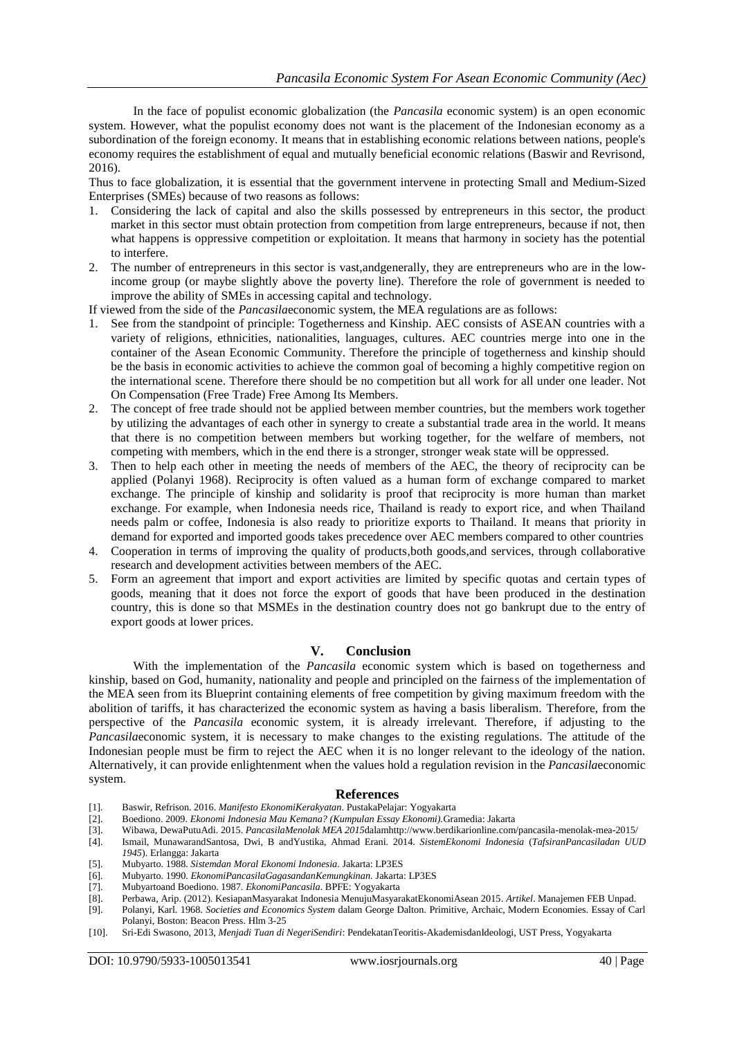In the face of populist economic globalization (the *Pancasila* economic system) is an open economic system. However, what the populist economy does not want is the placement of the Indonesian economy as a subordination of the foreign economy. It means that in establishing economic relations between nations, people's economy requires the establishment of equal and mutually beneficial economic relations (Baswir and Revrisond, 2016).

Thus to face globalization, it is essential that the government intervene in protecting Small and Medium-Sized Enterprises (SMEs) because of two reasons as follows:

- 1. Considering the lack of capital and also the skills possessed by entrepreneurs in this sector, the product market in this sector must obtain protection from competition from large entrepreneurs, because if not, then what happens is oppressive competition or exploitation. It means that harmony in society has the potential to interfere.
- 2. The number of entrepreneurs in this sector is vast,andgenerally, they are entrepreneurs who are in the lowincome group (or maybe slightly above the poverty line). Therefore the role of government is needed to improve the ability of SMEs in accessing capital and technology.

If viewed from the side of the *Pancasila*economic system, the MEA regulations are as follows:

- 1. See from the standpoint of principle: Togetherness and Kinship. AEC consists of ASEAN countries with a variety of religions, ethnicities, nationalities, languages, cultures. AEC countries merge into one in the container of the Asean Economic Community. Therefore the principle of togetherness and kinship should be the basis in economic activities to achieve the common goal of becoming a highly competitive region on the international scene. Therefore there should be no competition but all work for all under one leader. Not On Compensation (Free Trade) Free Among Its Members.
- 2. The concept of free trade should not be applied between member countries, but the members work together by utilizing the advantages of each other in synergy to create a substantial trade area in the world. It means that there is no competition between members but working together, for the welfare of members, not competing with members, which in the end there is a stronger, stronger weak state will be oppressed.
- 3. Then to help each other in meeting the needs of members of the AEC, the theory of reciprocity can be applied (Polanyi 1968). Reciprocity is often valued as a human form of exchange compared to market exchange. The principle of kinship and solidarity is proof that reciprocity is more human than market exchange. For example, when Indonesia needs rice, Thailand is ready to export rice, and when Thailand needs palm or coffee, Indonesia is also ready to prioritize exports to Thailand. It means that priority in demand for exported and imported goods takes precedence over AEC members compared to other countries
- 4. Cooperation in terms of improving the quality of products,both goods,and services, through collaborative research and development activities between members of the AEC.
- 5. Form an agreement that import and export activities are limited by specific quotas and certain types of goods, meaning that it does not force the export of goods that have been produced in the destination country, this is done so that MSMEs in the destination country does not go bankrupt due to the entry of export goods at lower prices.

#### **V. Conclusion**

With the implementation of the *Pancasila* economic system which is based on togetherness and kinship, based on God, humanity, nationality and people and principled on the fairness of the implementation of the MEA seen from its Blueprint containing elements of free competition by giving maximum freedom with the abolition of tariffs, it has characterized the economic system as having a basis liberalism. Therefore, from the perspective of the *Pancasila* economic system, it is already irrelevant. Therefore, if adjusting to the *Pancasila*economic system, it is necessary to make changes to the existing regulations. The attitude of the Indonesian people must be firm to reject the AEC when it is no longer relevant to the ideology of the nation. Alternatively, it can provide enlightenment when the values hold a regulation revision in the *Pancasila*economic system.

#### **References**

- [1]. Baswir, Refrison. 2016. *Manifesto EkonomiKerakyatan*. PustakaPelajar: Yogyakarta
- [2]. Boediono. 2009. *Ekonomi Indonesia Mau Kemana? (Kumpulan Essay Ekonomi).*Gramedia: Jakarta
- [3]. Wibawa, DewaPutuAdi. 2015. *PancasilaMenolak MEA 2015*dala[mhttp://www.berdikarionline.com/pancasila-menolak-mea-2015/](http://www.berdikarionline.com/pancasila-menolak-mea-2015/)
- [4]. Ismail, MunawarandSantosa, Dwi, B andYustika, Ahmad Erani. 2014. *SistemEkonomi Indonesia* (*TafsiranPancasiladan UUD 1945*). Erlangga: Jakarta
- [5]. Mubyarto. 1988. *Sistemdan Moral Ekonomi Indonesia*. Jakarta: LP3ES
- [6]. Mubyarto. 1990. *EkonomiPancasilaGagasandanKemungkinan.* Jakarta: LP3ES
- [7]. Mubyartoand Boediono. 1987. *EkonomiPancasila*. BPFE: Yogyakarta
- [8]. Perbawa, Arip. (2012). KesiapanMasyarakat Indonesia MenujuMasyarakatEkonomiAsean 2015*. Artikel*. Manajemen FEB Unpad.
- [9]. Polanyi, Karl. 1968. *Societies and Economics System* dalam George Dalton. Primitive, Archaic, Modern Economies. Essay of Carl Polanyi, Boston: Beacon Press. Hlm 3-25
- [10]. Sri-Edi Swasono, 2013, *Menjadi Tuan di NegeriSendiri*: PendekatanTeoritis-AkademisdanIdeologi, UST Press, Yogyakarta